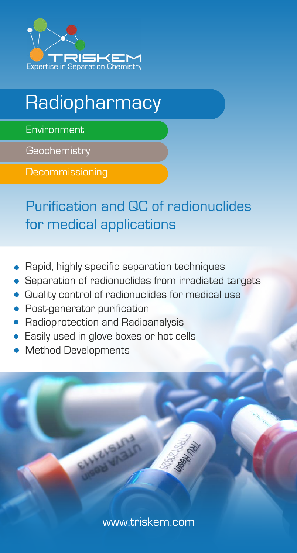

## **Radiopharmacy**

**Environment** 

**Geochemistry** 

**Decommissioning** 

Purification and QC of radionuclides for medical applications

- Rapid, highly specific separation techniques
- Separation of radionuclides from irradiated targets
- Quality control of radionuclides for medical use
- Post-generator purification
- Radioprotection and Radioanalysis
- Easily used in glove boxes or hot cells
- Method Developments

<www.triskem.com>